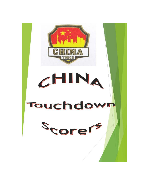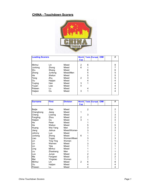## **CHINA - Touchdown Scorers**



| <b>Leading Scorers</b> |         |           | <b>World</b><br><b>Cup</b> |   | <b>Tests Europe OIM</b> |  | # |
|------------------------|---------|-----------|----------------------------|---|-------------------------|--|---|
|                        |         |           |                            |   |                         |  |   |
| Minhui                 | Lin     | Mixed     | 2                          | 6 |                         |  | 8 |
| Junlong                | Zhong   | Mixed     | 6                          |   |                         |  | 7 |
| Wu                     | Shang   | Mixed     |                            | 6 |                         |  | 6 |
| Zhong                  | Junlong | Mixed/Men |                            | 5 |                         |  | 5 |
| He                     | Weilun  | Mixed     |                            | 5 |                         |  | 5 |
| Teng                   | Zhu     | Mixed     | $\overline{2}$             | 3 |                         |  | 5 |
| lOu                    | Haijian | Mixed     |                            | 4 |                         |  | 4 |
| Yuqing                 | Han     | Mixed     | 3                          | 1 |                         |  | 4 |
| Yuyan                  | Liao    | Mixed     | 4                          |   |                         |  | 4 |
| Peiwen                 | Lu      | Mixed     |                            | 4 |                         |  | 4 |
| Haijian                | Ou      | Mixed     | 3                          | 1 |                         |  | 4 |

| <b>Surname</b> | <b>First</b>     | <b>Division</b> |                         |                | <b>World Tests Europe OIM</b> |  | #                                               |
|----------------|------------------|-----------------|-------------------------|----------------|-------------------------------|--|-------------------------------------------------|
|                |                  |                 | <b>Cup</b>              |                |                               |  |                                                 |
|                |                  |                 |                         |                |                               |  |                                                 |
| Beijie         | Wen              | Mixed           |                         | $\overline{2}$ |                               |  | $\overline{c}$                                  |
| Changhong      | Jiang            | Mixed           | 1                       |                |                               |  | $\mathbf{1}$                                    |
| Cheng          | Liulong          | Mixed           |                         | 3              |                               |  |                                                 |
| Fangling       | Zhou             | Mixed           | $\overline{\mathbf{c}}$ |                |                               |  | $\begin{array}{c} 3 \\ 2 \\ 4 \end{array}$      |
| Haijian        | Ou               | Mixed           | 3                       | 1              |                               |  |                                                 |
| He             | Peier            | Mixed           |                         | 1              |                               |  | $\mathbf{1}$                                    |
| He             | Weilun           | Mixed           |                         | 5              |                               |  |                                                 |
| Huang          | Wei Yang         | Men             |                         | 3              |                               |  | $\begin{array}{c} 5 \\ 3 \\ 3 \\ 1 \end{array}$ |
| Jiang          | Jiahua           | Mixed/Women     |                         | 3              |                               |  |                                                 |
| Johnny         | Luo              | Mixed           |                         | 1              |                               |  |                                                 |
| Junlong        | Zhong            | Mixed           | 6                       | 1              |                               |  | $\overline{7}$                                  |
| Liao           | Yugan            | Women/Mixed     |                         | 3              |                               |  | 3                                               |
| Lin            | <b>Ting Ting</b> | Women           |                         | 1              |                               |  | $\mathbf{1}$                                    |
| Lin            | Wenren           | Mixed           |                         | 3              |                               |  | 3                                               |
| Lin            | Yijia            | Mixed           |                         |                |                               |  | 1                                               |
| Ling           | Minhui           | Mixed           |                         |                |                               |  |                                                 |
| Liu            | Zhaokang         | Men             |                         |                |                               |  | 1                                               |
| Luo            | Junye            | Mixed           |                         | $\overline{2}$ |                               |  | $\frac{2}{2}$                                   |
| Ma             | Fangwei          | Mixed           |                         | $\overline{c}$ |                               |  |                                                 |
| Mai            | Yingxiao         | Women           |                         | 1              |                               |  | $\overline{1}$                                  |
| Minhui         | Lin              | Mixed           | $\overline{2}$          | 6              |                               |  | 8                                               |
| Ou             | Haijian          | Mixed           |                         | 4              |                               |  | 4                                               |
| Peiwen         | Lu               | Mixed           |                         | 4              |                               |  | 4                                               |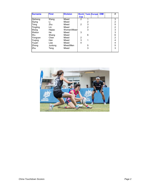| <b>Surname</b> | <b>First</b> | <b>Division</b> |                |   | <b>World Tests Europe OIM</b> |  | #              |
|----------------|--------------|-----------------|----------------|---|-------------------------------|--|----------------|
|                |              |                 | <b>Cup</b>     |   |                               |  |                |
| Qisheng        | Wang         | Mixed           | $\mathcal{P}$  | 1 |                               |  | 3              |
| Siying         | Li           | Mixed           |                | 2 |                               |  | $\overline{2}$ |
| Teng           | Zhu          | Mixed           | $\overline{2}$ | 3 |                               |  | 5              |
| Tingting       | Lin          | Mixed           |                | 2 |                               |  | $\overline{2}$ |
| Wang           | Hejiao       | Women/Mixed     |                | 3 |                               |  | 3              |
| Weilun         | He           | Mixed           | 3              |   |                               |  | 3              |
| lWu            | Shang        | Mixed           |                | 6 |                               |  | 6              |
| Yongcan        | Chen         | Mixed           | 2              |   |                               |  | $\overline{2}$ |
| Yuqing         | Han          | Mixed           | 3              | 1 |                               |  |                |
| Yuyan          | Liao         | Mixed           | 4              |   |                               |  | 4              |
| Zhong          | Junlong      | Mixed/Men       |                | 5 |                               |  | 5              |
| Zhu            | Teng         | Mixed           |                | 3 |                               |  | 3              |
|                |              |                 |                |   |                               |  |                |

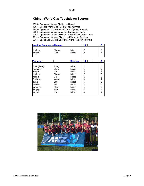## **China - World Cup Touchdown Scorers**

1995 - Opens and Master Divisions - Hawaii

1997 - Masters World Cup - Gold Coast, Australia

1999 - Opens and Masters World Cups - Sydney, Australia

2003 - Opens and Master Divisions - Kumagaya, Japan

2007 - Opens and Master Divisions - Stellenbosch, South Africa

2011 - Opens and Masters Divisions - Edinburgh, Scotland

2015 - Opens and Masters Divisions - Coffs Harbour, Australia

|                  | <b>Leading Touchdown Scorers</b> |                | 15 |  |
|------------------|----------------------------------|----------------|----|--|
| Junlong<br>Yuyan | Zhong<br>Liao                    | Mixed<br>Mixed |    |  |

| <b>Surname</b> |       | <b>Division</b> | 15             | #              |
|----------------|-------|-----------------|----------------|----------------|
|                |       |                 |                |                |
| Changhong      | Jiang | Mixed           |                |                |
| Fangling       | Zhou  | Mixed           | $\overline{2}$ | 2              |
| Haijian        | Ou    | Mixed           | 3              | 3              |
| Junlong        | Zhong | Mixed           | 6              | 6              |
| Minhui         | Lin   | Mixed           | $\overline{2}$ | $\overline{2}$ |
| Qisheng        | Wang  | Mixed           | $\overline{2}$ | $\overline{2}$ |
| Teng           | Zhu   | Mixed           | $\overline{2}$ | $\overline{2}$ |
| Weilun         | He    | Mixed           | 3              | 3              |
| Yongcan        | Chen  | Mixed           | $\overline{2}$ | $\overline{a}$ |
| Yuqing         | Han   | Mixed           | 3              | 3              |
| Yuyan          | Liao  | Mixed           | 4              | 4              |
|                |       |                 |                |                |